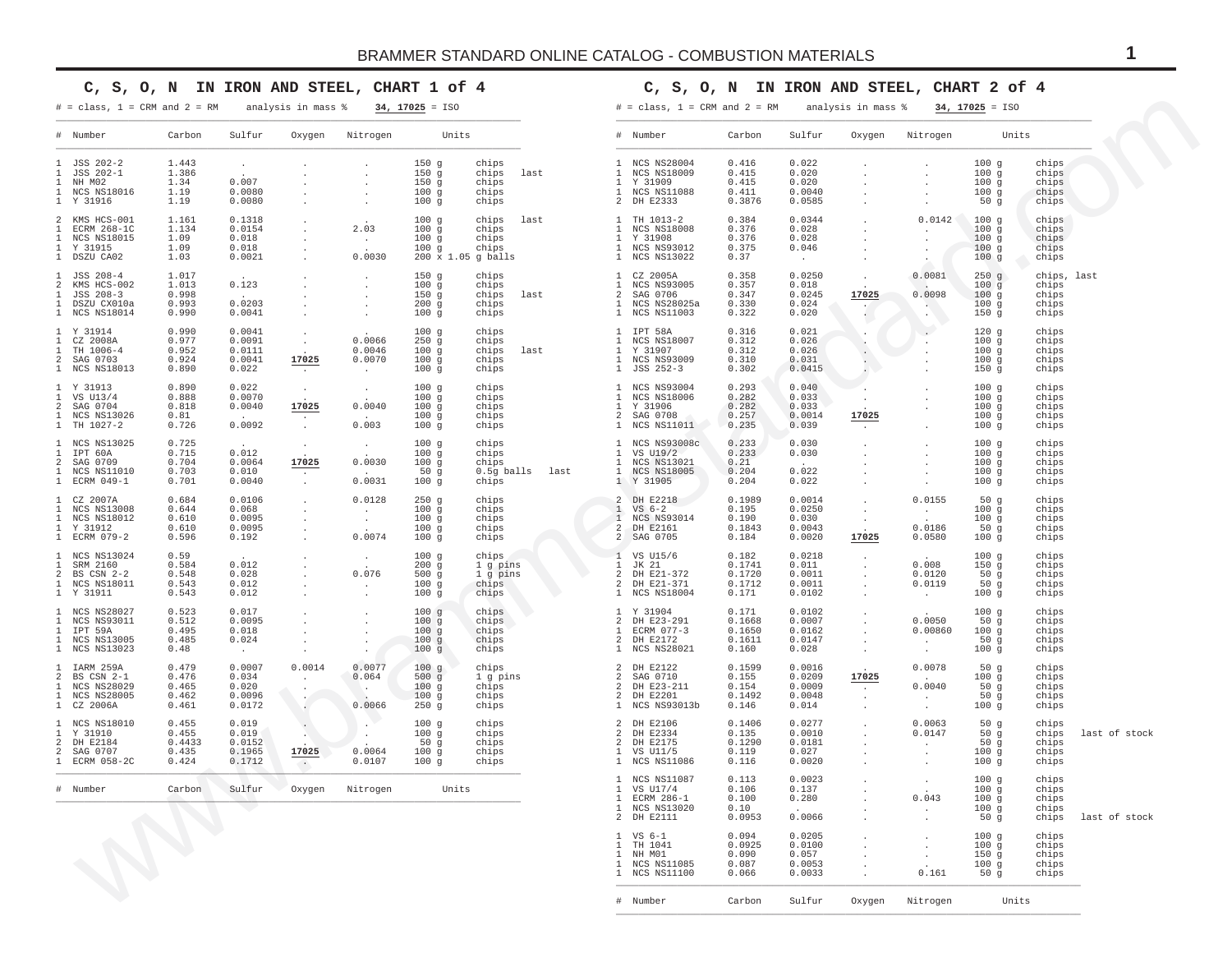## **C, S, O, N IN IRON AND STEEL, CHART 1 of 4**

## **C, S, O, N IN IRON AND STEEL, CHART 2 of 4**

# Number Carbon Sulfur Oxygen Nitrogen Units \_\_\_\_\_\_\_\_\_\_\_\_\_\_\_\_\_\_\_\_\_\_\_\_\_\_\_\_\_\_\_\_\_\_\_\_\_\_\_\_\_\_\_\_\_\_\_\_\_\_\_\_\_\_\_\_\_\_\_\_\_\_\_\_\_\_\_\_\_\_\_\_\_\_\_\_\_\_\_\_\_\_\_

| $# = class, 1 = CRM and 2 = RM$                                                                                              |                                            |                                               | analysis in mass %                                       |                                                          | $34, 17025 = ISO$                                |                                                        |      | $#$ = class, 1 = CRM and 2 = RM                                                                                      |                                              |                                               | analysis in mass %                           |                                                                                | $34, 17025 = ISO$                                            |                                                 |               |
|------------------------------------------------------------------------------------------------------------------------------|--------------------------------------------|-----------------------------------------------|----------------------------------------------------------|----------------------------------------------------------|--------------------------------------------------|--------------------------------------------------------|------|----------------------------------------------------------------------------------------------------------------------|----------------------------------------------|-----------------------------------------------|----------------------------------------------|--------------------------------------------------------------------------------|--------------------------------------------------------------|-------------------------------------------------|---------------|
| # Number                                                                                                                     | Carbon                                     | Sulfur                                        | Oxygen                                                   | Nitrogen                                                 | Units                                            |                                                        |      | # Number                                                                                                             | Carbon                                       | Sulfur                                        | Oxygen                                       | Nitrogen                                                                       | Units                                                        |                                                 |               |
| 1 JSS 202-2<br>JSS 202-1<br>NH M02<br>$\mathbf{1}$<br>NCS NS18016<br>-1.<br>1 Y 31916                                        | 1.443<br>1.386<br>1.34<br>1.19<br>1.19     | $\sim$<br>0.007<br>0.0080<br>0.0080           |                                                          | $\ddot{\phantom{a}}$                                     | 150g<br>150g<br>150g<br>100g<br>100g             | chips<br>chips<br>chips<br>chips<br>chips              | last | 1 NCS NS28004<br>1 NCS NS18009<br>1 Y 31909<br>1 NCS NS11088<br>2 DH E2333                                           | 0.416<br>0.415<br>0.415<br>0.411<br>0.3876   | 0.022<br>0.020<br>0.020<br>0.0040<br>0.0585   |                                              | $\cdot$                                                                        | 100g<br>100g<br>100g<br>100g<br>50g                          | chips<br>chips<br>chips<br>chips<br>chips       |               |
| 2<br>KMS HCS-001<br>ECRM 268-1C<br><b>NCS NS18015</b><br>1 Y 31915<br>1 DSZU CA02                                            | 1.161<br>1.134<br>1.09<br>1.09<br>1.03     | 0.1318<br>0.0154<br>0.018<br>0.018<br>0.0021  |                                                          | 2.03<br>$\overline{a}$<br>0.0030                         | 100g<br>100g<br>100g<br>100g                     | chips<br>chips<br>chips<br>chips<br>200 x 1.05 g balls | last | TH 1013-2<br>1 NCS NS18008<br>1 Y 31908<br>NCS NS93012<br>$\mathbf{1}$<br>1 NCS NS13022                              | 0.384<br>0.376<br>0.376<br>0.375<br>0.37     | 0.0344<br>0.028<br>0.028<br>0.046<br>$\sim$   |                                              | 0.0142<br>$\cdot$                                                              | 100g<br>100g<br>100g<br>100 <sub>g</sub><br>100g             | chips<br>chips<br>chips<br>chips<br>chips       |               |
| JSS 208-4<br>$\mathbf{1}$<br>2<br>KMS HCS-002<br>JSS 208-3<br>DSZU CX010a<br>1 NCS NS18014                                   | 1.017<br>1.013<br>0.998<br>0.993<br>0.990  | 0.123<br>0.0203<br>0.0041                     |                                                          | $\cdot$                                                  | 150g<br>100g<br>150g<br>200g<br>100g             | chips<br>chips<br>chips<br>chips<br>chips              | last | CZ 2005A<br>$\mathbf{1}$<br>NCS NS93005<br>2 SAG 0706<br>NCS NS28025a<br>1 NCS NS11003                               | 0.358<br>0.357<br>0.347<br>0.330<br>0.322    | 0.0250<br>0.018<br>0.0245<br>0.024<br>0.020   | 17025<br>$\sim$                              | 0.0081<br>0.0098<br>$\mathcal{L}_{\mathcal{A}}$ .                              | $250$ g<br>100g<br>100 <sub>g</sub><br>100g<br>150g          | chips, last<br>chips<br>chips<br>chips<br>chips |               |
| 1 Y 31914<br>$\mathbf{1}$<br>CZ 2008A<br>$\mathbf{1}$<br>TH 1006-4<br>$2^{\circ}$<br>SAG 0703<br>1 NCS NS18013               | 0.990<br>0.977<br>0.952<br>0.924<br>0.890  | 0.0041<br>0.0091<br>0.0111<br>0.0041<br>0.022 | $\cdot$<br>17025<br>$\sim$                               | 0.0066<br>0.0046<br>0.0070<br>$\sim$                     | 100g<br>250g<br>100g<br>100g<br>100g             | chips<br>chips<br>chips<br>chips<br>chips              | last | 1 IPT 58A<br>NCS NS18007<br>$\mathbf{1}$<br>Y 31907<br>1 NCS NS93009<br>1 JSS 252-3                                  | 0.316<br>0.312<br>0.312<br>0.310<br>0.302    | 0.021<br>0.026<br>0.026<br>0.031<br>0.0415    |                                              | $\ddot{\phantom{a}}$                                                           | 120g<br>100 <sub>g</sub><br>100g<br>100g<br>150 <sub>g</sub> | chips<br>chips<br>chips<br>chips<br>chips       |               |
| 1 Y 31913<br>VS U13/4<br>$\mathbf{1}$<br>2<br>SAG 0704<br>1 NCS NS13026<br>1 TH 1027-2                                       | 0.890<br>0.888<br>0.818<br>0.81<br>0.726   | 0.022<br>0.0070<br>0.0040<br>0.0092           | $\cdot$<br>17025<br>$\cdot$<br>$\sim$                    | $\sim$<br>0.0040<br>0.003                                | 100g<br>100g<br>100g<br>100g<br>100 <sub>g</sub> | chips<br>chips<br>chips<br>chips<br>chips              |      | 1 NCS NS93004<br>$\mathbf{1}$<br><b>NCS NS18006</b><br>Y 31906<br>-1.<br>$\overline{2}$<br>SAG 0708<br>1 NCS NS11011 | 0.293<br>0.282<br>0.282<br>0.257<br>0.235    | 0.040<br>0.033<br>0.033<br>0.0014<br>0.039    | 17025<br>$\sim$                              |                                                                                | 100g<br>100g<br>100 <sub>g</sub><br>100g<br>100 <sub>g</sub> | chips<br>chips<br>chips<br>chips<br>chips       |               |
| 1 NCS NS13025<br>$\mathbf{1}$<br>IPT 60A<br>$2^{\circ}$<br>SAG 0709<br>$\mathbf{1}$<br>NCS NS11010<br>1 ECRM 049-1           | 0.725<br>0.715<br>0.704<br>0.703<br>0.701  | 0.012<br>0.0064<br>0.010<br>0.0040            | 17025<br>$\sim$<br>$\cdot$                               | $\sim$<br>0.0030<br>0.0031                               | 100g<br>100g<br>100g<br>50g<br>100g              | chips<br>chips<br>chips<br>0.5g balls<br>chips         | last | 1 NCS NS93008c<br>1 VS U19/2<br>1 NCS NS13021<br>1 NCS NS18005<br>1 Y 31905                                          | 0.233<br>0.233<br>0.21<br>0.204<br>0.204     | 0.030<br>0.030<br>0.022<br>0.022              |                                              | $\cdot$<br>$\cdot$                                                             | 100g<br>100g<br>100g<br>100 <sub>g</sub><br>100g             | chips<br>chips<br>chips<br>chips<br>chips       |               |
| 1 CZ 2007A<br><b>NCS NS13008</b><br>$\mathbf{1}$<br>NCS NS18012<br>1<br>1 Y 31912<br>1 ECRM 079-2                            | 0.684<br>0.644<br>0.610<br>0.610<br>0.596  | 0.0106<br>0.068<br>0.0095<br>0.0095<br>0.192  | $\cdot$<br>$\cdot$<br>$\cdot$                            | 0.0128<br>$\cdot$<br>$\ddot{\phantom{a}}$<br>0.0074      | 250g<br>100g<br>100g<br>100g<br>100g             | chips<br>chips<br>chips<br>chips<br>chips              |      | 2 DH E2218<br>1<br>$VS6-2$<br>1 NCS NS93014<br>2 DH E2161<br>2 SAG 0705                                              | 0.1989<br>0.195<br>0.190<br>0.1843<br>0.184  | 0.0014<br>0.0250<br>0.030<br>0.0043<br>0.0020 | $\cdot$<br>$\blacksquare$<br>$\sim$<br>17025 | 0.0155<br>$\sim$<br>0.0186<br>0.0580                                           | 50g<br>100g<br>100g<br>50g<br>100 g                          | chips<br>chips<br>chips<br>chips<br>chips       |               |
| 1 NCS NS13024<br>SRM 2160<br>$\mathbf{1}$<br>$2^{\circ}$<br>$BS \text{ CSN} 2-2$<br>NCS NS18011<br>$\mathbf{1}$<br>1 Y 31911 | 0.59<br>0.584<br>0.548<br>0.543<br>0.543   | 0.012<br>0.028<br>0.012<br>0.012              | $\cdot$<br>$\cdot$                                       | $\sim$<br>0.076<br>$\cdot$<br>$\blacksquare$             | 100g<br>200g<br>500g<br>100g<br>100g             | chips<br>1 g pins<br>1 g pins<br>chips<br>chips        |      | 1 VS U15/6<br>JK 21<br>$\mathbf{1}$<br>DH E21-372<br>$\mathcal{L}$<br>$\mathfrak{D}$<br>DH E21-371<br>1 NCS NS18004  | 0.182<br>0.1741<br>0.1720<br>0.1712<br>0.171 | 0.0218<br>0.011<br>0.0011<br>0.0011<br>0.0102 | $\ddot{\phantom{0}}$<br>$\cdot$              | 0.008<br>0.0120<br>0.0119<br>$\sim$                                            | 100g<br>150g<br>50g<br>50g<br>100g                           | chips<br>chips<br>chips<br>chips<br>chips       |               |
| 1 NCS NS28027<br>$\mathbf{1}$<br>NCS NS93011<br>IPT 59A<br>$\mathbf{1}$<br>1 NCS NS13005<br>1 NCS NS13023                    | 0.523<br>0.512<br>0.495<br>0.485<br>0.48   | 0.017<br>0.0095<br>0.018<br>0.024<br>$\sim$   | $\cdot$                                                  | $\ddot{\phantom{a}}$<br>$\cdot$<br>$\cdot$               | 100g<br>100g<br>100g<br>100g<br>100g             | chips<br>chips<br>chips<br>chips<br>chips              |      | 1 Y 31904<br>DH E23-291<br>$\mathcal{L}$<br>ECRM 077-3<br>DH E2172<br>2<br>1 NCS NS28021                             | 0.171<br>0.1668<br>0.1650<br>0.1611<br>0.160 | 0.0102<br>0.0007<br>0.0162<br>0.0147<br>0.028 | $\cdot$                                      | 0.0050<br>0.00860<br>$\cdot$<br>$\sim$                                         | 100g<br>50 g<br>100g<br>50g<br>100g                          | chips<br>chips<br>chips<br>chips<br>chips       |               |
| 1 IARM 259A<br>$\overline{2}$<br>BS CSN 2-1<br>1 NCS NS28029<br><b>NCS NS28005</b><br>1 CZ 2006A                             | 0.479<br>0.476<br>0.465<br>0.462<br>0.461  | 0.0007<br>0.034<br>0.020<br>0.0096<br>0.0172  | 0.0014<br>$\ddot{\phantom{a}}$<br>$\cdot$<br>$\sim$      | 0.0077<br>0.064<br>$\mathcal{N}_{\mathcal{F}}$<br>0.0066 | 100g<br>500g<br>100g<br>100g<br>250g             | chips<br>1 q pins<br>chips<br>chips<br>chips           |      | 2 DH E2122<br>$\overline{2}$<br>SAG 0710<br>2 DH E23-211<br>2 DH E2201<br>1 NCS NS93013b                             | 0.1599<br>0.155<br>0.154<br>0.1492<br>0.146  | 0.0016<br>0.0209<br>0.0009<br>0.0048<br>0.014 | 17025<br>$\sim$<br>$\cdot$                   | 0.0078<br>0.0040<br>$\sim 10^{-1}$                                             | 50 <sub>g</sub><br>100g<br>50 g<br>50g<br>100g               | chips<br>chips<br>chips<br>chips<br>chips       |               |
| 1 NCS NS18010<br>Y 31910<br>-1.<br>$\overline{2}$<br>DH E2184<br>$\mathcal{L}$<br>SAG 0707<br>1 ECRM 058-2C                  | 0.455<br>0.455<br>0.4433<br>0.435<br>0.424 | 0.019<br>0.019<br>0.0152<br>0.1965<br>0.1712  | $\ddot{\phantom{0}}$<br>17025<br>$\langle \cdot \rangle$ | $\cdot$<br>0.0064<br>0.0107                              | 100g<br>100g<br>50g<br>100g<br>100g              | chips<br>chips<br>chips<br>chips<br>chips              |      | 2 DH E2106<br>DH E2334<br>-2<br>DH E2175<br>$\overline{2}$<br>1 VS U11/5<br>1 NCS NS11086                            | 0.1406<br>0.135<br>0.1290<br>0.119<br>0.116  | 0.0277<br>0.0010<br>0.0181<br>0.027<br>0.0020 |                                              | 0.0063<br>0.0147<br>$\ddot{\phantom{0}}$<br>$\epsilon$<br>$\ddot{\phantom{a}}$ | 50g<br>50g<br>50 <sub>g</sub><br>100 <sub>g</sub><br>100g    | chips<br>chips<br>chips<br>chips<br>chips       | last of stock |
| # Number                                                                                                                     | Carbon                                     | Sulfur                                        | Oxygen                                                   | Nitrogen                                                 | Units                                            |                                                        |      | 1 NCS NS11087<br>1 VS U17/4<br>ECRM 286-1<br><b>NCS NS13020</b><br>2 DH E2111                                        | 0.113<br>0.106<br>0.100<br>0.10<br>0.0953    | 0.0023<br>0.137<br>0.280<br>0.0066            |                                              | $\ddot{\phantom{a}}$<br>0.043<br>$\cdot$                                       | 100g<br>100g<br>100g<br>100g<br>50g                          | chips<br>chips<br>chips<br>chips<br>chips       | last of stock |
|                                                                                                                              |                                            |                                               |                                                          |                                                          |                                                  |                                                        |      | $VS-1$<br>-1.<br>TH 1041<br>1 NH M01<br>NCS NS11085<br>$\mathbf{1}$<br>1 NCS NS11100                                 | 0.094<br>0.0925<br>0.090<br>0.087<br>0.066   | 0.0205<br>0.0100<br>0.057<br>0.0053<br>0.0033 |                                              | $\cdot$<br>$\cdot$<br>0.161                                                    | 100g<br>100g<br>150 <sub>g</sub><br>100g<br>50 <sub>g</sub>  | chips<br>chips<br>chips<br>chips<br>chips       |               |
|                                                                                                                              |                                            |                                               |                                                          |                                                          |                                                  |                                                        |      | # Number                                                                                                             | Carbon                                       | Sulfur                                        | Oxygen                                       | Nitrogen                                                                       | Units                                                        |                                                 |               |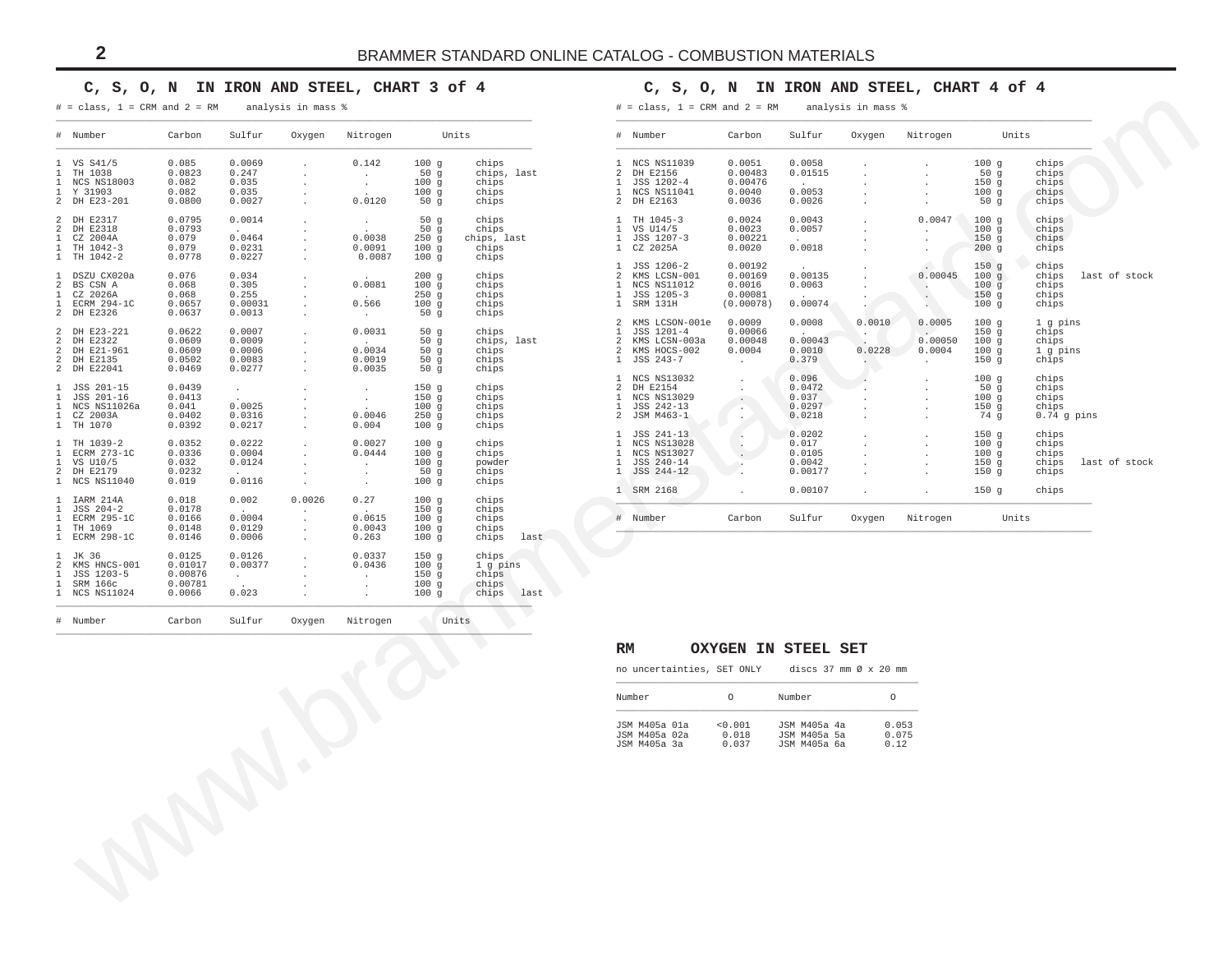#### **C, S, O, N IN IRON AND STEEL, CHART 3 of 4**

#### $# = class, 1 = CRM and 2 = RM$  analysis in mass  $%$

## **C, S, O, N IN IRON AND STEEL, CHART 4 of 4**

|                                                   |                                                        |                                                         | analysis in mass %                       |                                                            |                                                      | $\#$ = class, 1 = CRM and 2 = RM                                                                                                                              |                                                                |                                                                                                         | analysis in mass %  |                                                                             |                                                              |                                                   |                                                  |
|---------------------------------------------------|--------------------------------------------------------|---------------------------------------------------------|------------------------------------------|------------------------------------------------------------|------------------------------------------------------|---------------------------------------------------------------------------------------------------------------------------------------------------------------|----------------------------------------------------------------|---------------------------------------------------------------------------------------------------------|---------------------|-----------------------------------------------------------------------------|--------------------------------------------------------------|---------------------------------------------------|--------------------------------------------------|
| Carbon                                            | Sulfur                                                 | Oxygen                                                  | Nitrogen                                 |                                                            | Units                                                | # Number                                                                                                                                                      | Carbon                                                         | Sulfur                                                                                                  | Oxygen              | Nitrogen                                                                    | Units                                                        |                                                   |                                                  |
| 0.085<br>0.0823<br>0.082                          | 0.0069<br>0.247<br>0.035                               | $\cdot$                                                 | 0.142<br>$\cdot$<br>$\cdot$              | 100g<br>50g<br>100g                                        | chips<br>chips, last<br>chips                        | 1 NCS NS11039<br>$\overline{a}$<br>DH E2156<br>JSS 1202-4<br>1                                                                                                | 0.0051<br>0.00483<br>0.00476                                   | 0.0058<br>0.01515                                                                                       |                     |                                                                             | 100g<br>50g<br>$150\,$ g                                     | chips<br>chips<br>chips                           |                                                  |
| 0.0800                                            | 0.0027                                                 | $\overline{\phantom{a}}$                                | 0.0120                                   | 50 <sub>g</sub>                                            | chips                                                | 2<br>DH E2163                                                                                                                                                 | 0.0036                                                         | 0.0026                                                                                                  |                     |                                                                             | 50 <sub>g</sub>                                              | chips                                             |                                                  |
| 0.0795<br>0.0793<br>0.079<br>0.079                | 0.0014<br>0.0464<br>0.0231                             | $\cdot$<br>$\cdot$                                      | $\ddot{\phantom{1}}$<br>0.0038<br>0.0091 | 50g<br>50g<br>250g<br>100g                                 | chips<br>chips<br>chips, last<br>chips               | $\mathbf{1}$<br>TH 1045-3<br>VS U14/5<br>$\mathbf{1}$<br>JSS 1207-3<br>1<br>CZ 2025A<br>$\mathbf{1}$                                                          | 0.0024<br>0.0023<br>0.00221<br>0.0020                          | 0.0043<br>0.0057<br>0.0018                                                                              |                     | 0.0047                                                                      | 100g<br>100g<br>150 <sub>g</sub><br>200g                     | chips<br>chips<br>chips<br>chips                  |                                                  |
| 0.076<br>0.068<br>0.068<br>0.0657                 | 0.034<br>0.305<br>0.255<br>0.00031                     | $\cdot$<br>$\ddot{\phantom{1}}$                         | 0.0081<br>0.566                          | 200g<br>100g<br>250g<br>100g                               | chips<br>chips<br>chips                              | $\mathbf{1}$<br>JSS 1206-2<br>$\mathfrak{D}$<br>NCS NS11012<br>$\mathbf{1}$<br>JSS 1205-3<br>$\overline{1}$<br>1 SRM 131H                                     | 0.00192<br>0.00169<br>0.0016<br>0.00081                        | 0.00135<br>0.0063<br>0.00074                                                                            |                     | 0.00045<br>$\sim$<br>$\langle \cdot \rangle$<br>$\mathcal{L}_{\mathcal{A}}$ | 150g<br>100g<br>100g<br>150 <sub>g</sub><br>100 <sub>g</sub> | chips<br>chips<br>chips<br>chips<br>chips         |                                                  |
| 0.0637<br>0.0622<br>0.0609<br>0.0609<br>0.0502    | 0.0013<br>0.0007<br>0.0009<br>0.0006<br>0.0083         | $\ddot{\phantom{a}}$<br>$\ddot{\phantom{a}}$<br>$\cdot$ | $\sim$<br>0.0031<br>0.0034<br>0.0019     | 50g<br>50g<br>50g<br>50g                                   | chips<br>chips<br>chips, last<br>chips<br>chips      | $\overline{a}$<br>$\mathbf{1}$<br>JSS 1201-4<br>$\overline{2}$<br>2<br>1 JSS 243-7                                                                            | 0.0009<br>0.00066<br>0.00048<br>0.0004<br>$\ddot{\phantom{a}}$ | 0.0008<br>0.00043<br>0.0010<br>0.379                                                                    | 0.0010<br>0.0228    | 0.0005<br>0.00050<br>0.0004<br>$\cdot$                                      | 100g<br>150 <sub>g</sub><br>100g<br>100g<br>150g             | 1 g pins<br>chips<br>chips<br>1 g pins<br>chips   |                                                  |
| 0.0439<br>0.0413<br>0.041<br>0.0402               | $\sim$<br>0.0025<br>0.0316                             | $\cdot$<br>$\cdot$<br>$\ddot{\phantom{a}}$              | $\cdot$<br>$\sim$<br>0.0046              | 150g<br>150g<br>100g<br>$250$ g                            | chips<br>chips<br>chips<br>chips                     | NCS NS13032<br>$\overline{1}$<br>2<br>DH E2154<br><b>NCS NS13029</b><br>$\mathbf{1}$<br>1<br>JSS 242-13<br>2 JSM M463-1                                       | $\cdot$<br>$\cdot$<br>$\cdot$<br>$\cdot$                       | 0.096<br>0.0472<br>0.037<br>0.0297<br>0.0218                                                            |                     |                                                                             | 100g<br>50 g<br>100g<br>150 <sub>g</sub><br>74 g             | chips<br>chips<br>chips<br>chips<br>$0.74$ g pins |                                                  |
| 0.0352<br>0.0336<br>0.032<br>0.0232               | 0.0222<br>0.0004<br>0.0124                             | $\cdot$<br>$\cdot$                                      | 0.0027<br>0.0444<br>$\cdot$<br>$\cdot$   | 100g<br>100g<br>100g<br>50g                                | chips<br>chips<br>powder<br>chips                    | $\mathbf{1}$<br>JSS 241-13<br>NCS NS13028<br>$\overline{1}$<br>$\mathbf{1}$<br><b>NCS NS13027</b><br>$\mathbf{1}$<br>JSS 240-14<br>JSS 244-12<br>$\mathbf{1}$ | $\cdot$<br>٠.<br>$\sim$<br>$\ddot{\phantom{1}}$                | 0.0202<br>0.017<br>0.0105<br>0.0042<br>0.00177                                                          |                     |                                                                             | 150g<br>100g<br>100g<br>150 <sub>g</sub><br>150g             | chips<br>chips<br>chips<br>chips<br>chips         |                                                  |
| 0.018<br>0.0178<br>0.0166<br>0.0148               | 0.002<br>0.0004<br>0.0129                              | 0.0026<br>$\ddot{\phantom{a}}$<br>$\cdot$<br>$\cdot$    | 0.27<br>0.0615<br>0.0043                 | 100g<br>150g<br>100g<br>100g                               | chips<br>chips<br>chips<br>chips                     | 1 SRM 2168<br># Number                                                                                                                                        | Carbon                                                         | 0.00107<br>Sulfur                                                                                       | Oxygen              | Nitrogen                                                                    | 150g                                                         | chips                                             |                                                  |
| 0.0125<br>0.01017<br>0.00876<br>0.00781<br>0.0066 | 0.0126<br>0.00377<br>$\cdot$<br>0.023                  | $\cdot$<br>$\ddot{\phantom{a}}$<br>$\cdot$              | 0.0337<br>0.0436<br>$\cdot$<br>$\cdot$   | 150g<br>100g<br>150g<br>100g<br>100g                       | chips<br>1 g pins<br>chips<br>chips<br>chips<br>last |                                                                                                                                                               |                                                                |                                                                                                         |                     |                                                                             |                                                              |                                                   |                                                  |
| Carbon                                            | Sulfur                                                 | Oxygen                                                  | Nitrogen                                 |                                                            |                                                      |                                                                                                                                                               |                                                                |                                                                                                         |                     |                                                                             |                                                              |                                                   |                                                  |
|                                                   |                                                        |                                                         |                                          |                                                            | O                                                    | RM                                                                                                                                                            |                                                                |                                                                                                         |                     |                                                                             |                                                              |                                                   |                                                  |
|                                                   |                                                        |                                                         |                                          |                                                            |                                                      | Number                                                                                                                                                        | $\circ$                                                        | Number                                                                                                  |                     |                                                                             |                                                              |                                                   |                                                  |
|                                                   |                                                        |                                                         |                                          |                                                            |                                                      | JSM M405a 01a<br>JSM M405a 02a                                                                                                                                | < 0.001<br>0.018                                               | JSM M405a 4a<br>JSM M405a 5a                                                                            |                     | 0.053<br>0.075                                                              |                                                              |                                                   |                                                  |
|                                                   | 0.082<br>0.0778<br>0.0469<br>0.0392<br>0.019<br>0.0146 | 0.035<br>0.0227<br>0.0277<br>0.0217<br>0.0116<br>0.0006 | $\cdot$<br>$\ddot{\phantom{a}}$          | 0.0087<br>0.0035<br>0.004<br>$\ddot{\phantom{0}}$<br>0.263 | 100g<br>100g<br>50g<br>50g<br>100g<br>100g<br>100g   | chips<br>chips<br>chips<br>chips<br>chips<br>chips<br>chips<br>last<br>Units                                                                                  | 1<br>NCS NS11041                                               | 0.0040<br>KMS LCSN-001<br>KMS LCSON-001e<br>KMS LCSN-003a<br>KMS HOCS-002<br>no uncertainties, SET ONLY | 0.0053<br>(0.00078) | OXYGEN IN STEEL SET                                                         | discs 37 mm Ø x 20 mm<br>$\circ$                             | 100g                                              | chips<br>last of stock<br>last of stock<br>Units |

| #                                                     | Number                                                                                         | Carbon                                                         | Sulfur                                                         | Oxygen           | Nitrogen                                                      | Units                                        |                                                                     |
|-------------------------------------------------------|------------------------------------------------------------------------------------------------|----------------------------------------------------------------|----------------------------------------------------------------|------------------|---------------------------------------------------------------|----------------------------------------------|---------------------------------------------------------------------|
| 1<br>$\mathfrak{D}$<br>$\mathbf{1}$<br>$\mathfrak{D}$ | <b>NCS NS11039</b><br>DH E2156<br>JSS 1202-4<br>1 NCS NS11041<br>DH E2163                      | 0.0051<br>0.00483<br>0.00476<br>0.0040<br>0.0036               | 0.0058<br>0.01515<br><b>Contractor</b><br>0.0053<br>0.0026     | $\sim$           | ÷.                                                            | 100q<br>50q<br>150q<br>100g<br>50q           | chips<br>chips<br>chips<br>chips<br>chips                           |
| 1<br>1<br>1<br>1                                      | TH 1045-3<br>VS U14/5<br>JSS 1207-3<br>CZ 2025A                                                | 0.0024<br>0.0023<br>0.00221<br>0.0020                          | 0.0043<br>0.0057<br>$\sim$<br>0.0018                           |                  | 0.0047<br>$\cdot$                                             | 100q<br>100q<br>150g<br>200q                 | chips<br>chips<br>chips<br>chips                                    |
| 1<br>2<br>$\mathbf{1}$<br>$\mathbf{1}$<br>1           | JSS 1206-2<br>KMS LCSN-001<br>NCS NS11012<br>JSS 1205-3<br>SRM 131H                            | 0.00192<br>0.00169<br>0.0016<br>0.00081<br>(0.00078)           | $\ddot{\phantom{a}}$<br>0.00135<br>0.0063<br>$\sim$<br>0.00074 |                  | 0.00045                                                       | 150g<br>100q<br>100q<br>150q<br>100q         | chips<br>chips<br>last of stock<br>chips<br>chips<br>chips          |
| 2<br>$\mathbf{1}$<br>$\overline{a}$<br>2<br>1         | KMS LCSON-001e<br>JSS 1201-4<br>KMS LCSN-003a<br>KMS HOCS-002<br>JSS 243-7                     | 0.0009<br>0.00066<br>0.00048<br>0.0004<br>$\ddot{\phantom{0}}$ | 0.0008<br>0.00043<br>0.0010<br>0.379                           | 0.0010<br>0.0228 | 0.0005<br>$\sim$<br>0.00050<br>0.0004<br><b>All Contracts</b> | 100q<br>150q<br>100q<br>100q<br>150q         | 1 q pins<br>chips<br>chips<br>$1$ q pins<br>chips                   |
| 1<br>2<br>1<br>$\mathbf{1}$<br>$\mathfrak{D}$         | NCS NS13032<br>DH R2154<br><b>NCS NS13029</b><br>JSS 242-13<br>JSM M463-1                      |                                                                | 0.096<br>0.0472<br>0.037<br>0.0297<br>0.0218                   |                  | $\ddot{\phantom{0}}$<br>$\mathbf{r}$                          | 100q<br>50q<br>100q<br>150q<br>74 q          | chips<br>chips<br>chips<br>chips<br>$0.74$ q pins                   |
| 1<br>1<br>1<br>1<br>1<br>1.                           | JSS 241-13<br><b>NCS NS13028</b><br><b>NCS NS13027</b><br>JSS 240-14<br>JSS 244-12<br>SRM 2168 |                                                                | 0.0202<br>0.017<br>0.0105<br>0.0042<br>0.00177<br>0.00107      |                  | $\mathbf{r}$<br>$\mathbf{r}$<br>$\mathbf{r}$                  | 150g<br>100g<br>100q<br>150q<br>150q<br>150q | chips<br>chips<br>chips<br>chips<br>last of stock<br>chips<br>chips |
| #                                                     | Number                                                                                         | Carbon                                                         | Sulfur                                                         | Oxygen           | Nitrogen                                                      | Units                                        |                                                                     |

## **RM OXYGEN IN STEEL SET**

| no uncertainties. SET ONLY |  | discs $37 \text{ mm}$ $\varnothing$ $\times$ $20 \text{ mm}$ |  |  |  |  |
|----------------------------|--|--------------------------------------------------------------|--|--|--|--|
|                            |  |                                                              |  |  |  |  |

| Number |                                                | O                         | Number                                       | Ω                      |
|--------|------------------------------------------------|---------------------------|----------------------------------------------|------------------------|
|        | JSM M405a 01a<br>JSM M405a 02a<br>JSM M405a 3a | < 0.001<br>0.018<br>0.037 | JSM M405a 4a<br>JSM M405a 5a<br>JSM M405a 6a | 0.053<br>0.075<br>0.12 |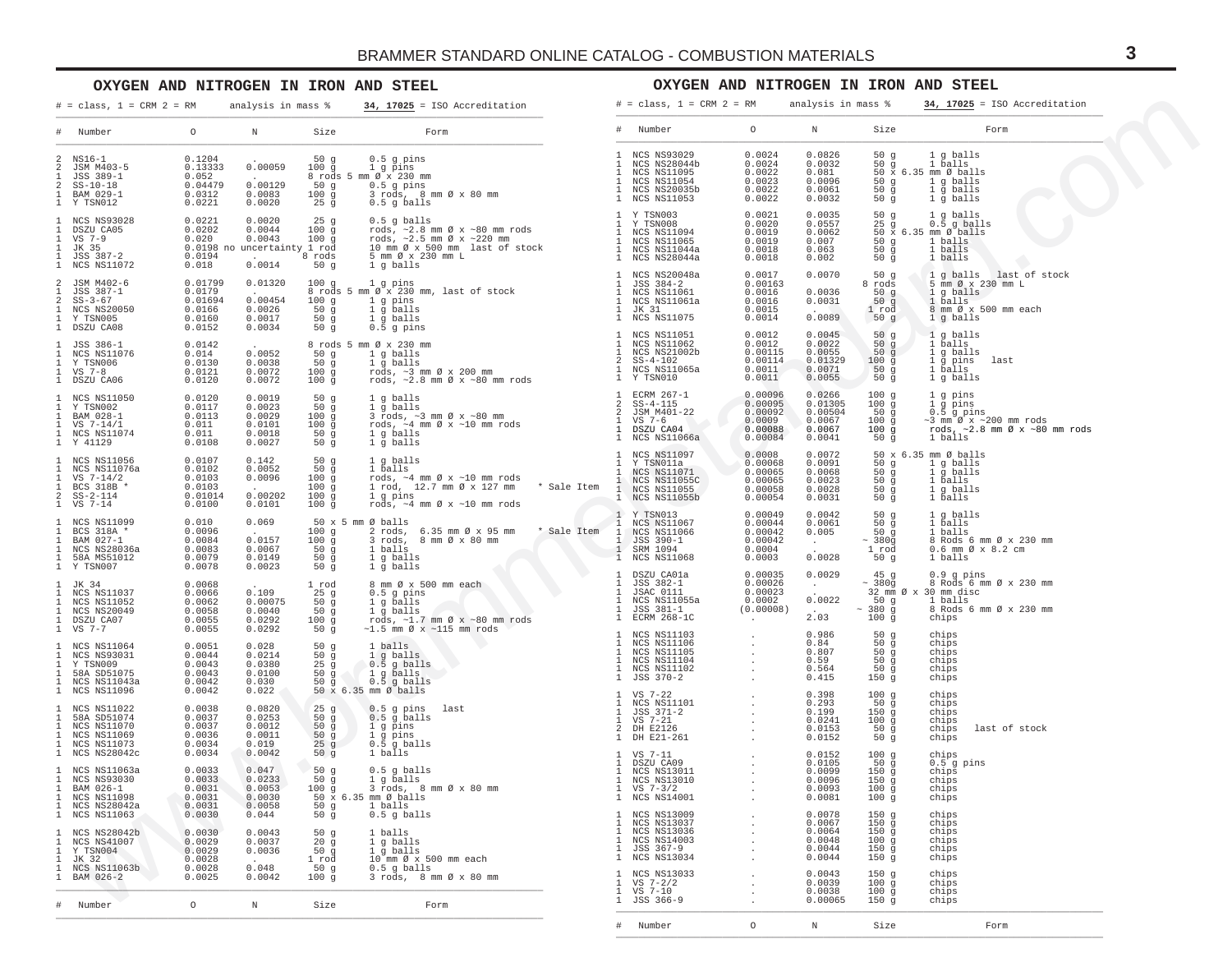## **OXYGEN AND NITROGEN IN IRON AND STEEL**

## **OXYGEN AND NITROGEN IN IRON AND STEEL**

| $#$ = class, 1 = CRM 2 = RM                                                                                                                                                                                                                                                                                           |                                                                                         | analysis in mass %                                           |                                                                                         | $34, 17025 =$ ISO Accreditation                                                                                                                                                                                                                                                                                                                                                                                                       | $# = class, 1 = CRM 2 = RM$                                                                                                                                                                                                                                                                          |                                                                                                                                                    | analysis in mass %                                             |                                                          | $34, 17025 =$ ISO Accreditation                                                                                                                                                              |
|-----------------------------------------------------------------------------------------------------------------------------------------------------------------------------------------------------------------------------------------------------------------------------------------------------------------------|-----------------------------------------------------------------------------------------|--------------------------------------------------------------|-----------------------------------------------------------------------------------------|---------------------------------------------------------------------------------------------------------------------------------------------------------------------------------------------------------------------------------------------------------------------------------------------------------------------------------------------------------------------------------------------------------------------------------------|------------------------------------------------------------------------------------------------------------------------------------------------------------------------------------------------------------------------------------------------------------------------------------------------------|----------------------------------------------------------------------------------------------------------------------------------------------------|----------------------------------------------------------------|----------------------------------------------------------|----------------------------------------------------------------------------------------------------------------------------------------------------------------------------------------------|
| # Number                                                                                                                                                                                                                                                                                                              | $\circ$                                                                                 | N Size                                                       |                                                                                         | <b>Example 18</b> Form                                                                                                                                                                                                                                                                                                                                                                                                                | # Number                                                                                                                                                                                                                                                                                             | $\circ$                                                                                                                                            | $\mathbb N$                                                    | Size                                                     | Form                                                                                                                                                                                         |
| 2 NS16-1<br>2 JSM M403-5<br>1 JSS 389-1<br>$2$ $SS-10-18$<br>1 BAM 029-1<br>1 Y TSN012                                                                                                                                                                                                                                |                                                                                         |                                                              |                                                                                         | $\begin{array}{cccc} 0.1204 & . & . & . & . & . & 50 \text{ g} & 0.5 \text{ g pins} \\ 0.1333 & 0.00059 & 100 \text{ g} & 1 \text{ g pins} \\ 0.052 & . & . & 8 \text{ roads 5 mm} \text{ @x 230 mm} \\ 0.04479 & 0.00129 & .50 \text{ g} & 0.5 \text{ g pins} \\ 0.0312 & 0.0083 & 100 \text{ g} & 3 \text{ roads, 8 mm} \\ 0.0221 & 0.0020 & 25 \text{ g} & 0.5 \$<br>50g 0.5 g pins<br>100g 3 rods, 8 mm Øx 80 mm<br>$0.5$ g balls | 1 NCS NS93029<br>1 NCS NS28044b<br>NCS NS11095<br>1 NCS NS11095<br>1 NCS NS20035b<br>1 NCS NS11053                                                                                                                                                                                                   | $0.0024$<br>$0.0024$<br>$0.0022$<br>$0.0023$<br>0.0023<br>0.0022<br>0.0022                                                                         | 0.0826<br>0.0032<br>0.081<br>0.0096<br>0.0061<br>0.0032        |                                                          | $\begin{array}{ccccc} 50 & g & & 1 g \text{ balls} \\ 50 & g & & 1 \text{ balls} \end{array}$<br>50 x 6.35 mm Ø balls<br>1 g balls<br>50 g 1 g balls<br>50 g 1 g balls                       |
| $\begin{tabular}{lcccc} 1&NCS N593028 & 0.0221 & 0.0020 & 25 g \\ 1&DSZU CAD5 & 0.0202 & 0.0044 & 100 g \\ 1&VS 7-9 & 0.020 & 0.0043 & 100 g \\ 1&JK 35 & 387-2 & 0.0198~\text{no} \text{ uncertainty } 1~\text{rod} \\ 1&JSS 387-2 & 0.0194 & 0.0014 & 8~\text{rod} \\ 1&NCS N S11072 & 0.018 & 0.0014 & 50~\text{g$ |                                                                                         |                                                              | $\begin{array}{c} 25 \\ 100 \\ 100 \\ \hline \end{array}$                               | $\begin{array}{cccccc} 25 & g & 0.5 & g & balls & & 1 & \text{Y TSN003} & 0.0021 \\ 100 & g & \text{rod}s, & \sim 2.8 & mm & \text{W} & \text{rod}s & & 1 & \text{Y TSN003} & 0.0020 \\ 100 & g & \text{rod}s, & \sim 2.5 & mm & \text{W} & \sim 220 & mm & & 1 & \text{NCS NS11094} & 0.0019 \\ 15 & 1 & \text{VCS NS11094} & 0.0019 & 0.0019 & 0.0019 & 0.0019 \\$                                                                  | 1 Y TSN003                                                                                                                                                                                                                                                                                           | 0.0021                                                                                                                                             | 0.0035<br>0.0557<br>0.0062<br>0.007<br>0.063<br>0.002          | 50g                                                      | 1 g balls<br>$25 \text{ g}$ $0.\overline{5}$ g balls<br>$50 \times 6.35$ mm $\emptyset$ balls<br>$50 g$ 1 balls<br>$\begin{array}{ccc} 50 & g & 1 & balls \\ 50 & g & 1 & balls \end{array}$ |
| $\begin{tabular}{cccc} 2 & JSM M402-6 & 0.01799 & 0.01320 \\ 1 & JSS 387-1 & 0.0179 & . \\ 2 & SS-3-67 & 0.01694 & 0.00454 \\ 1 & NCS N820050 & 0.0166 & 0.0026 \\ 1 & Y S N005 & 0.0166 & 0.0027 \\ 1 & SZU CAO8 & 0.0152 & 0.0034 \\ \end{tabular}$                                                                 |                                                                                         |                                                              | $50\frac{1}{9}$                                                                         | 100 g 1 g pins<br>50 g i gballs<br>50 g i gballs<br>50 g 0.5 gpins                                                                                                                                                                                                                                                                                                                                                                    |                                                                                                                                                                                                                                                                                                      | 0.0017<br>0.00163<br>0.0016<br>0.0016<br>0.0015<br>0.0014                                                                                          | 0.0070<br>0.0036<br>0.0031<br>0.0089                           |                                                          | 50 g $1$ g balls last of stock<br>8 rods 5 mm $\emptyset$ x 230 mm L<br>50 g i g balls<br>50 g i balls<br>50 g i balls<br>1 rod 8 mm Ø x 500 mm each<br>50 g i g balls                       |
| $\begin{tabular}{llllll} 1 & JSS & 386-1 & 0.0142 \\ 1 & NCS N S11076 & 0.014 \\ 1 & Y T S N006 & 0.0130 \\ 1 & Y S & 7-8 & 0.0130 \\ 1 & DSZU CAO6 & 0.0121 \\ \end{tabular}$                                                                                                                                        |                                                                                         | 0.0052<br>0.0038<br>0.0072<br>0.0072                         |                                                                                         | $\begin{tabular}{lllllllllllllllllllll} \hline 8\;\mbox{rods 5 mm $\varnothing$ x 230 mm} & 1\;\mbox{NCS NS11051} & 0.0012 \\ \hline 50 g & 1 g\;\mbox{balls} & 1\;\mbox{NCS NS11062} & 0.0012 \\ 50 g & 1 g\;\mbox{balls} & 1\;\mbox{NCS NS21002b} & 0.00115 \\ 50 g & 1 g\;\mbox{bals} & 2 \;\mbox{S\,-s 1-102} & 0.00114 \\ 100 g & \mbox{rods, $\sim$2.$                                                                          |                                                                                                                                                                                                                                                                                                      |                                                                                                                                                    | 0.0045<br>0.0022<br>0.0055<br>0.01329<br>0.0071<br>0.0055      |                                                          |                                                                                                                                                                                              |
|                                                                                                                                                                                                                                                                                                                       |                                                                                         | 0.0019<br>0.0023<br>$0.0029$<br>$0.0101$<br>0.0018<br>0.0027 | 50 $q$<br>50g<br>100 g<br>100g<br>50g<br>50g                                            | 1 ECRM 267-1 0.00096<br>1 g balls<br>3 rods, ~3 mm Ø x ~80 mm<br>rods, ~4 mm Ø x ~80 mm<br>2 3 JSM M401-22 0.00095<br>2 3 JSM M401-22 0.00099<br>rods, ~4 mm Ø x ~10 mm rods<br>1 DSZU CA04 0.00098<br>1 DSZU CA04 0.00088<br>1 DSZU CA04 0.0008<br>1 g balls                                                                                                                                                                         |                                                                                                                                                                                                                                                                                                      |                                                                                                                                                    | 0.0266<br>0.01305<br>0.00504<br>0.0067<br>0.0067<br>0.0041     |                                                          | $100 g$ 1 g pins<br>100 3 1 3 pins<br>100 3 0.5 g pins<br>100 9 -3 mm Øx ~200 mm rods<br>100 9 -3 mm Øx ~200 mm rods<br>100 9 1 balls                                                        |
| $\begin{tabular}{lcccc} 1 & NCS NSI1056 & 0.0107 & 0.142 \\ 1 & NCS NSI1076a & 0.0102 & 0.0052 \\ 1 & YSS T-14/2 & 0.0103 & 0.0096 \\ 1 & RCS 3188 * & 0.0103 & 0.00202 \\ 2 & SSS-2-114 & 0.01014 & 0.00202 \\ 1 & YS & 7-14 & 0.0100 & 0.0101 \\ \end{tabular}$                                                     |                                                                                         |                                                              | $\begin{array}{c} 50 g \\ 50 g \end{array}$<br>100g<br>100g<br>100g<br>100 <sub>g</sub> | 1 g balls<br>1 balls<br>1 balls<br>1 balls<br>1 m $\emptyset$ x -10 mm rods<br>1 m $\emptyset$ x -10 mm rods<br>1 m $\emptyset$ x -10 mm rods<br>1 m $\emptyset$ x -10 mm rods<br>1 m $\emptyset$ x -10 mm rods<br>1 m $\emptyset$ x -10 mm rods<br>1 m $\emptyset$ x -10 mm rods<br>1 m $\emptyset$                                                                                                                                  |                                                                                                                                                                                                                                                                                                      |                                                                                                                                                    | 0.0072<br>0.0091<br>0.0068<br>0.0023<br>0.0028<br>0.0031       | 50 $\bar{g}$                                             | 50 x 6.35 mm Ø balls<br>$\begin{array}{ccccc}\n50 & g & 1 & g & balls \\ 50 & g & 1 & g & balls\n\end{array}$<br>50 g<br>50 g<br>50 g<br>1 g balls<br>1 balls                                |
| $\begin{tabular}{lcccc} 1 & NCS N511099 & & & 0.010 & & 0.069 \\ 1 & BCS 318A & * & & 0.0096 & \\ 1 & BAM 027-1 & & & 0.0084 & & 0.0157 \\ \end{tabular}$<br>1 NCS NS28036a<br>1 58A MS51012 0.0083<br>1 7 TSN007 0.0079                                                                                              |                                                                                         | 0.0067<br>0.0149<br>0.0023                                   |                                                                                         | $\emptyset$ X $\sim$ 10 km $\sim$ $\sim$ $\sim$<br>50 x 5 mm Ø balls                                                                                                                                                                                                                                                                                                                                                                  | 1 Y TSN013<br>1 NCS NS11067                                                                                                                                                                                                                                                                          | 0.00049<br>0.00044<br>0.00042<br>0.00042<br>0.0004<br>0.0003                                                                                       | 0.0042<br>0.0061<br>0.005<br>$\mathcal{O}(10^{-10})$<br>0.0028 | 50 g<br>50 <sub>g</sub><br>50g<br>$~\sim~380$ q<br>1 rod | 1 g balls<br>$\frac{1}{1}$ $\frac{9}{1}$ $\frac{1}{1}$ $\frac{1}{1}$<br>1 balls<br>8 Rods 6 mm Ø x 230 mm<br>0.6 mm Ø x 8.2 cm<br>50 g 1 balls                                               |
|                                                                                                                                                                                                                                                                                                                       |                                                                                         | 0.109<br>0.00075<br>0.0040<br>0.0292<br>0.0292               |                                                                                         | 50 x 5 mm $\emptyset$ balls<br>100 g 2 rods, 6.35 mm $\emptyset$ x 95 mm $\rightarrow$ Sale Item 1 NCS NS11067<br>100 g 3 rods, 8 mm $\emptyset$ x 80 mm<br>50 g 1 balls<br>50 g 1 g balls<br>50 g 1 g balls<br>50 g 1 g balls<br>50 g 1 g balls<br>50 g 1 g balls<br>50 g                                                                                                                                                            |                                                                                                                                                                                                                                                                                                      | $0.00035$<br>0.00026<br>0.00022<br>0.00023<br>0.0002<br>(0.00008)<br>and the company                                                               | 0.0029<br>$\frac{1}{2}$ , $\frac{1}{2}$<br>0.0022<br>2.03      | 45 <sub>g</sub><br>$~\sim~380g$<br>100 g chips           | 0.9 g pins<br>8 Rods 6 mm Ø x 230 mm<br>32 mm Ø x 30 mm disc<br>$\frac{1}{20}$ balls<br>. ~ 380 g 8 Rods 6 mm Ø x 230 mm                                                                     |
| 1 NCS NS11064<br>1 NCS NS93031<br>1 Y TSN009<br>1 58A SD51075<br>1 NCS NS11043a                                                                                                                                                                                                                                       | $0.0051$<br>0.0044<br>0.0043<br>0.0043<br>0.0042                                        | 0.028<br>0.0214<br>0.0380<br>0.0100<br>0.030                 |                                                                                         | 25 g<br>50 g<br>50 g<br>50 g<br>50 g<br>50 g<br>50 g<br>50 balls<br>50 x 6.35 mm Ø balls                                                                                                                                                                                                                                                                                                                                              |                                                                                                                                                                                                                                                                                                      | $\begin{array}{cccc} . & & & 0 \ . \ 9 \ 8 \ 6 & & & \\ . & & & 0 \ . \ 8 \ 4 & & & \\ . & & & 0 \ . \ 8 \ 0 \ . \end{array}$<br><b>Contractor</b> | 0.986<br>0.59<br>0.564<br>0.415                                | 50g<br>$\frac{50}{50}$ g<br>50g<br>50 g<br>150g          | chips<br>chips<br>chips<br>chips<br>chips<br>chips                                                                                                                                           |
| 1 NCS NS11096<br>1 NCS NS11022<br>1 58A SD51074<br>1 NCS NS11070<br>1 NCS NS11069<br>1 NCS NS11073                                                                                                                                                                                                                    | 0.0042<br>$\begin{array}{c} 0.0038\ 0.0037\ 0.0037\ 0.0036\ 0.0034\ 0.0034 \end{array}$ | 0.022<br>0.0820<br>0.0253<br>0.0012<br>0.0011<br>0.019       | 25g                                                                                     | $\begin{array}{c}\n 1, \frac{3}{5} \frac{3}{5} \text{ balls} \\  5.35 \text{ mm } \emptyset \text{ balls} \\  0.5 \text{ g pins} \text{ last} \\  0.5 \text{ g balls}\n\end{array}$                                                                                                                                                                                                                                                   | $\begin{tabular}{lllllllllllll} 1 & \text{VS} & 7-22 & & & & & 0.398 \\ 1 & \text{NCS} & \text{NS11101} & & & & 0.293 \\ 1 & \text{JSS} & 371-2 & & & & 0.199 \\ 1 & \text{VS} & 7-21 & & & & 0.0191 \\ 2 & \text{DH E2126} & & & & 0.0153 \\ 1 & \text{DH E21-261} & & & & 0.0152 \\ \end{tabular}$ |                                                                                                                                                    |                                                                | 100g<br>$50\bar{g}$<br>150g<br>100g<br>50 g<br>50 g      | chips<br>chips<br>chips<br>chips<br>chips<br>last of stock<br>chips                                                                                                                          |
| 1 NCS NS28042c<br>1 NCS NS11063a<br>1 NCS NS93030<br>1 BAM 026-1<br>NCS NS11098<br>1 NCS NS28042a                                                                                                                                                                                                                     | $0.0033 \ 0.0033 \ 0.0031$<br>0.0031<br>0.0031<br>0.0031                                | 0.0042<br>0.047<br>0.0233<br>0.0053<br>0.0030<br>0.0058      | 50 g<br>50g<br>50g<br>100g<br>50 g                                                      | 1 balls<br>0.5 g balls<br>1 g balls<br>3 rods, 8 mm Ø x 80 mm<br>50 x 6.35 mm Ø balls<br>1 balls                                                                                                                                                                                                                                                                                                                                      | 1 NCS NS14001                                                                                                                                                                                                                                                                                        |                                                                                                                                                    | 0.0152<br>0.0081                                               | 100g<br>50g<br>150g<br>150g<br>100g<br>100g              | chips<br>0.5 g pins<br>chips<br>chips<br>chips<br>chips                                                                                                                                      |
| 1 NCS NS11063<br>1 NCS NS28042b<br>1 NCS NS41007<br>1 Y TSN004<br>1 JK 32<br>1 NCS NS11063b                                                                                                                                                                                                                           | 0.0030<br>0.0030<br>0.0029<br>0.0029<br>0.0028<br>0.0028                                | 0.044<br>0.0043<br>0.0037<br>0.0036<br>0.048                 | 50 $g$<br>50g<br>20g<br>50 $g$<br>1 rod                                                 | $0.5$ g balls<br>1 balls<br>1 g balls<br>1 g balls<br>10 mm Ø x 500 mm each                                                                                                                                                                                                                                                                                                                                                           | 1 NCS NS13009<br>1 NCS NS13037<br>1 NCS NS13036<br>1 NCS NS14003<br>1 JSS 367-9<br>1 NCS NS13034                                                                                                                                                                                                     |                                                                                                                                                    | 0.0078<br>0.0067<br>0.0064<br>0.0048<br>0.0044<br>0.0044       | 150g<br>150g<br>150g<br>100g<br>150g<br>150g             | chips<br>chips<br>chips<br>chips<br>chips<br>chips                                                                                                                                           |
| 1 BAM 026-2                                                                                                                                                                                                                                                                                                           | 0.0025                                                                                  | 0.0042                                                       | 50 g<br>100g                                                                            | 0.5 g balls<br>3 rods, 8 mm Ø x 80 mm                                                                                                                                                                                                                                                                                                                                                                                                 | 1 NCS NS13033<br>$1 \text{ VS } 7-2/2$<br>1 VS 7-10<br>1 JSS 366-9                                                                                                                                                                                                                                   |                                                                                                                                                    | 0.0043<br>0.0039<br>0.0038<br>0.00065                          | 150g<br>$100 - 9$<br>100g<br>150 g                       | chips<br>chips<br>chips<br>chips                                                                                                                                                             |
| # Number                                                                                                                                                                                                                                                                                                              | $\circ$                                                                                 | $\mathbb N$                                                  | Size                                                                                    | Form                                                                                                                                                                                                                                                                                                                                                                                                                                  | Number<br>$\pm$                                                                                                                                                                                                                                                                                      | $\circ$                                                                                                                                            | N                                                              | Size                                                     | Form                                                                                                                                                                                         |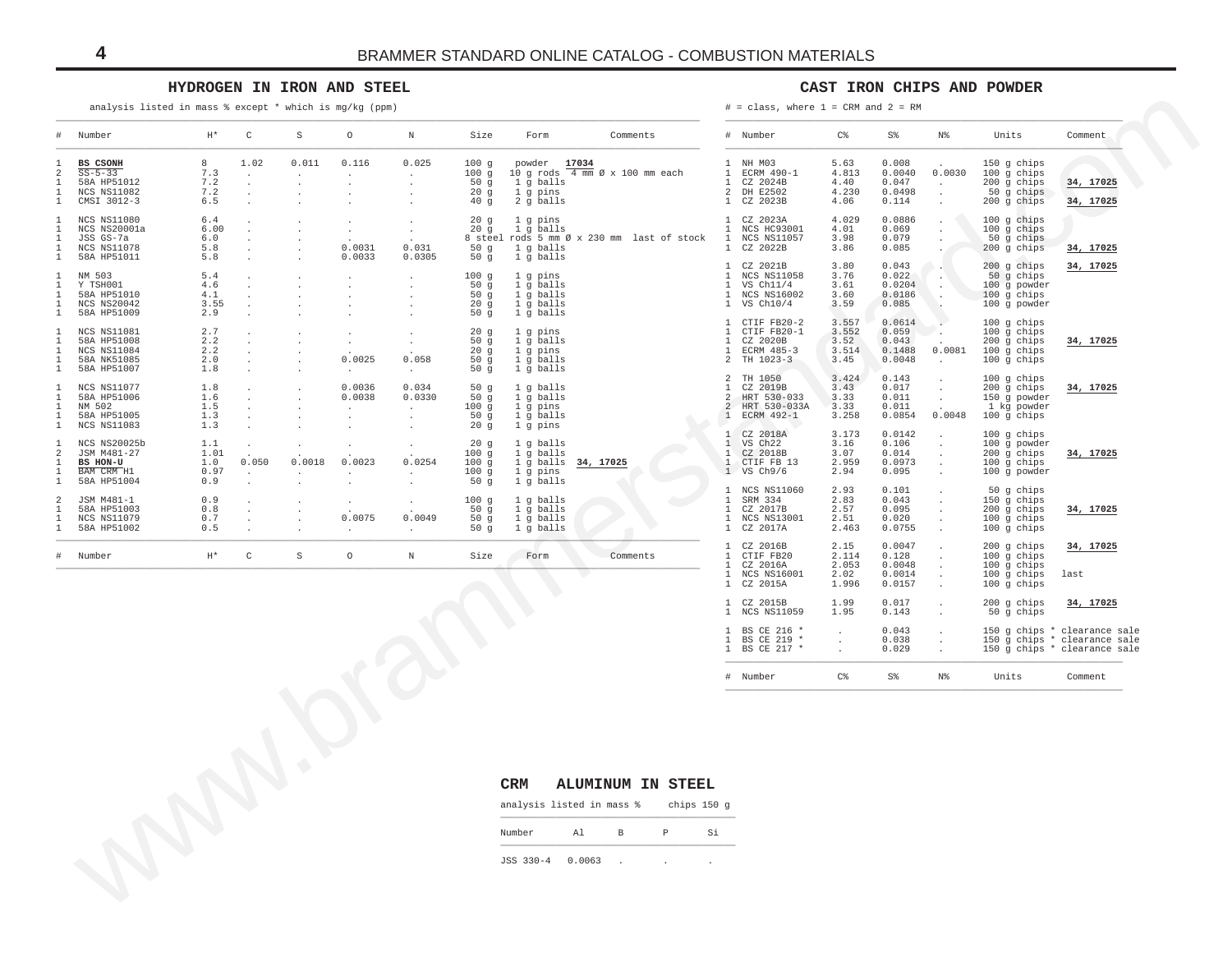### **HYDROGEN IN IRON AND STEEL**

#### **CAST IRON CHIPS AND POWDER**

| Number                                                                        |                                   |                                                                                 |         |                             |                                           |                                                           |                                                               |                                               |                                                                                                                                      |                                         |                                               |                                                        |                                                                              |                                                                                              |
|-------------------------------------------------------------------------------|-----------------------------------|---------------------------------------------------------------------------------|---------|-----------------------------|-------------------------------------------|-----------------------------------------------------------|---------------------------------------------------------------|-----------------------------------------------|--------------------------------------------------------------------------------------------------------------------------------------|-----------------------------------------|-----------------------------------------------|--------------------------------------------------------|------------------------------------------------------------------------------|----------------------------------------------------------------------------------------------|
|                                                                               | $\mathbb{H}^{\,\star}$            | C                                                                               | S       | $\circ$                     | $\mathbbm{N}$                             | Size                                                      | Form                                                          | Comments                                      | # Number                                                                                                                             | $C\,$                                   | $S\,$                                         | N%                                                     | Units                                                                        | Comment                                                                                      |
| BS CSONH<br>$SS - 5 - 33$<br>58A HP51012<br>NCS NS11082<br>CMSI 3012-3        | 8<br>7.3<br>7.2<br>7.2<br>6.5     | 1.02<br>$\cdot$<br>$\cdot$<br>$\cdot$<br>$\cdot$                                | 0.011   | 0.116<br>$\cdot$            | 0.025<br>$\cdot$<br>$\cdot$               | 100g<br>100g<br>50 <sub>g</sub><br>20g<br>40 <sub>g</sub> | powder 17034<br>1 g balls<br>1 g pins<br>2 g balls            | 10 g rods 4 mm Ø x 100 mm each                | 1 NH M03<br>$\mathbf{1}$<br>ECRM 490-1<br>CZ 2024B<br>$\mathbf{1}$<br>2<br>DH E2502<br>CZ 2023B                                      | 5.63<br>4.813<br>4.40<br>4.230<br>4.06  | 0.008<br>0.0040<br>0.047<br>0.0498<br>0.114   | 0.0030<br>$\cdot$<br>$\cdot$                           | 150 g chips<br>100 g chips<br>$200$ g chips<br>50 g chips<br>200 g chips     | 34, 17025<br>34, 17025                                                                       |
| NCS NS11080<br>NCS NS20001a<br>JSS GS-7a<br><b>NCS NS11078</b><br>58A HP51011 | 6.4<br>6.00<br>6.0<br>5.8<br>5.8  | $\cdot$<br>$\cdot$<br>$\cdot$<br>$\ddot{\phantom{a}}$                           | $\cdot$ | 0.0031<br>0.0033            | $\cdot$<br>0.031<br>0.0305                | 20g<br>20g<br>50g<br>50g                                  | 1 g pins<br>1 g balls<br>1 g balls<br>1 g balls               | 8 steel rods 5 mm Ø x 230 mm last of stock    | CZ 2023A<br>1<br>$\mathbf{1}$<br>NCS HC93001<br>$\mathbf{1}$<br>NCS NS11057<br>CZ 2022B<br>$\mathbf{1}$                              | 4.029<br>4.01<br>3.98<br>3.86           | 0.0886<br>0.069<br>0.079<br>0.085             |                                                        | 100 g chips<br>$100$ g chips<br>50 g chips<br>200 g chips                    | 34, 17025                                                                                    |
| NM 503<br>Y TSH001<br>58A HP51010<br>NCS NS20042<br>58A HP51009               | 5.4<br>4.6<br>4.1<br>3.55<br>2.9  | $\ddot{\phantom{a}}$<br>$\cdot$<br>$\ddot{\phantom{a}}$<br>$\ddot{\phantom{0}}$ |         | $\sim$                      | $\cdot$<br>$\cdot$                        | 100g<br>50g<br>50g<br>20 <sub>g</sub><br>50g              | 1 g pins<br>1 g balls<br>1 g balls<br>1 g balls<br>1 g balls  |                                               | CZ 2021B<br>$\mathbf{1}$<br>NCS NS11058<br>$\overline{1}$<br>VS Ch11/4<br><b>NCS NS16002</b><br>$\mathbf{1}$<br>1 VS Ch10/4          | 3.80<br>3.76<br>3.61<br>3.60<br>3.59    | 0.043<br>0.022<br>0.0204<br>0.0186<br>0.085   | $\cdot$<br>$\ddot{\phantom{1}}$                        | $200$ q chips<br>50 g chips<br>100 g powder<br>$100$ g chips<br>100 g powder | 34, 17025                                                                                    |
| NCS NS11081<br>58A HP51008<br>NCS NS11084<br>58A NK51085<br>58A HP51007       | 2.7<br>2.2<br>2.2<br>2.0<br>1.8   | $\cdot$<br>$\cdot$<br>$\cdot$<br>$\cdot$<br>$\ddot{\phantom{a}}$                |         | 0.0025<br>$\overline{a}$    | 0.058<br>$\sim$                           | 20g<br>50g<br>20g<br>50g<br>50g                           | $1$ q pins<br>1 g balls<br>1 g pins<br>1 g balls<br>1 g balls |                                               | $\mathbf{1}$<br>CTIF FB20-2<br>CTIF FB20-1<br>$\mathbf{1}$<br>CZ 2020B<br>$\overline{1}$<br>ECRM 485-3<br>2<br>TH 1023-3             | 3.557<br>3.552<br>3.52<br>3.514<br>3.45 | 0.0614<br>0.059<br>0.043<br>0.1488<br>0.0048  | $\ddot{\phantom{a}}$<br>0.0081<br>$\ddot{\phantom{a}}$ | 100 g chips<br>100 g chips<br>200 g chips<br>$100$ g chips<br>100 g chips    | 34, 17025                                                                                    |
| NCS NS11077<br>58A HP51006<br>NM 502<br>58A HP51005<br>NCS NS11083            | 1.8<br>1.6<br>1.5<br>1.3<br>1.3   | $\cdot$<br>$\cdot$<br>$\cdot$<br>$\cdot$                                        |         | 0.0036<br>0.0038<br>$\cdot$ | 0.034<br>0.0330<br>$\cdot$<br>$\cdot$     | 50g<br>50g<br>100g<br>50g                                 | 1 g balls<br>1 g balls<br>1 g pins<br>1 g balls<br>1 g pins   |                                               | $\mathfrak{D}$<br>TH 1050<br>$\mathbf{1}$<br>CZ 2019B<br>HRT 530-033<br>2<br>HRT 530-033A<br>2<br>1 ECRM 492-1                       | 3.424<br>3.43<br>3.33<br>3.33<br>3.258  | 0.143<br>0.017<br>0.011<br>0.011<br>0.0854    | $\cdot$<br>$\cdot$<br>0.0048                           | 100 g chips<br>200 g chips<br>150 g powder<br>1 kg powder<br>100 g chips     | 34, 17025                                                                                    |
| NCS NS20025b<br>JSM M481-27<br>BS HON-U<br>BAM CRM H1<br>58A HP51004          | 1.1<br>1.01<br>1.0<br>0.97<br>0.9 | $\ddot{\phantom{0}}$<br>0.050<br>$\cdot$                                        | 0.0018  | 0.0023                      | 0.0254                                    | 20g<br>20g<br>100g<br>100g<br>100g                        | 1 g balls<br>1 g balls<br>1 g balls<br>1 g pins               | 34, 17025                                     | 1 CZ 2018A<br>VS Ch22<br>$\overline{1}$<br>$\mathbf{1}$<br>CZ 2018B<br>CTIF FB 13<br>$\mathbb{1}$<br>$1$ VS $Ch9/6$                  | 3.173<br>3.16<br>3.07<br>2.959<br>2.94  | 0.0142<br>0.106<br>0.014<br>0.0973<br>0.095   | $\ddot{\phantom{1}}$<br>$\ddot{\phantom{a}}$           | 100 g chips<br>100 g powder<br>200 g chips<br>100 g chips<br>100 g powder    | 34, 17025                                                                                    |
| JSM M481-1<br>58A HP51003<br>NCS NS11079<br>58A HP51002                       | 0.9<br>0.8<br>0.7<br>0.5          | $\cdot$<br>$\cdot$<br>$\cdot$<br>$\cdot$                                        |         | 0.0075                      | $\ddot{\phantom{a}}$<br>0.0049<br>$\cdot$ | 50g<br>100g<br>50g<br>50g<br>50g                          | 1 g balls<br>1 g balls<br>1 g balls<br>1 g balls<br>1 g balls |                                               | <b>NCS NS11060</b><br>$\mathbf{1}$<br>SRM 334<br>$\mathbf{1}$<br>CZ 2017B<br>$\mathbf{1}$<br>$\mathbf{1}$<br>NCS NS13001<br>CZ 2017A | 2.93<br>2.83<br>2.57<br>2.51<br>2.463   | 0.101<br>0.043<br>0.095<br>0.020<br>0.0755    | $\ddot{\phantom{1}}$<br>$\cdot$                        | 50 g chips<br>150 g chips<br>$200$ g chips<br>100 g chips<br>100 g chips     | 34, 17025                                                                                    |
| Number                                                                        | $\mathbb{H}^{\star}$              | $\mathtt{C}$                                                                    | $\rm S$ | $\circ$                     | $\mathbbm{N}$                             | Size                                                      | Form                                                          | Comments                                      | CZ 2016B<br>CTIF FB20<br>$\overline{1}$<br>CZ 2016A<br>NCS NS16001<br>$\mathbf{1}$<br>$\mathbf{1}$<br>CZ 2015A                       | 2.15<br>2.114<br>2.053<br>2.02<br>1.996 | 0.0047<br>0.128<br>0.0048<br>0.0014<br>0.0157 | $\cdot$                                                | 200 g chips<br>100 g chips<br>100 g chips<br>$100$ g chips<br>100 g chips    | 34, 17025<br>last                                                                            |
|                                                                               |                                   |                                                                                 |         |                             |                                           |                                                           |                                                               |                                               | CZ 2015B<br>$\mathbf{1}$<br>1 NCS NS11059                                                                                            | 1.99<br>1.95                            | 0.017<br>0.143                                | $\ddot{\phantom{a}}$                                   | 200 g chips<br>50 g chips                                                    | 34, 17025                                                                                    |
|                                                                               |                                   |                                                                                 |         |                             |                                           |                                                           |                                                               |                                               | BS CE 216 *<br>1<br>BS CE 219 *<br>$\mathbf{1}$<br>$\mathbf{1}$<br>BS CE 217 *                                                       | $\cdot$<br>$\cdot$<br>$\epsilon$        | 0.043<br>0.038<br>0.029                       | $\cdot$<br>$\cdot$<br>$\cdot$                          |                                                                              | 150 g chips * clearance sale<br>150 g chips * clearance sale<br>150 g chips * clearance sale |
|                                                                               |                                   |                                                                                 |         |                             |                                           |                                                           |                                                               |                                               | # Number                                                                                                                             | C <sup>o</sup>                          | $S\,{}^{\circ}\!\delta$                       | $\mathbb{N}^{\mathbb{Q}}$                              | Units                                                                        | Comment                                                                                      |
|                                                                               |                                   |                                                                                 |         |                             |                                           |                                                           | <b>CRM</b><br>analysis listed in mass %                       | <b>ALUMINUM IN STEEL</b><br>chips 150 g       |                                                                                                                                      |                                         |                                               |                                                        |                                                                              |                                                                                              |
|                                                                               |                                   |                                                                                 |         |                             |                                           |                                                           | Al<br>Number                                                  | $\mathbb P$<br>Si<br>$\mathbf{B}$             |                                                                                                                                      |                                         |                                               |                                                        |                                                                              |                                                                                              |
|                                                                               |                                   |                                                                                 |         |                             |                                           |                                                           |                                                               |                                               |                                                                                                                                      |                                         |                                               |                                                        |                                                                              |                                                                                              |
|                                                                               |                                   |                                                                                 |         |                             |                                           |                                                           | JSS 330-4                                                     | 0.0063<br>$\overline{\phantom{a}}$<br>$\cdot$ |                                                                                                                                      |                                         |                                               |                                                        |                                                                              |                                                                                              |

#### **CRM ALUMINUM IN STEEL**

| Number |  |
|--------|--|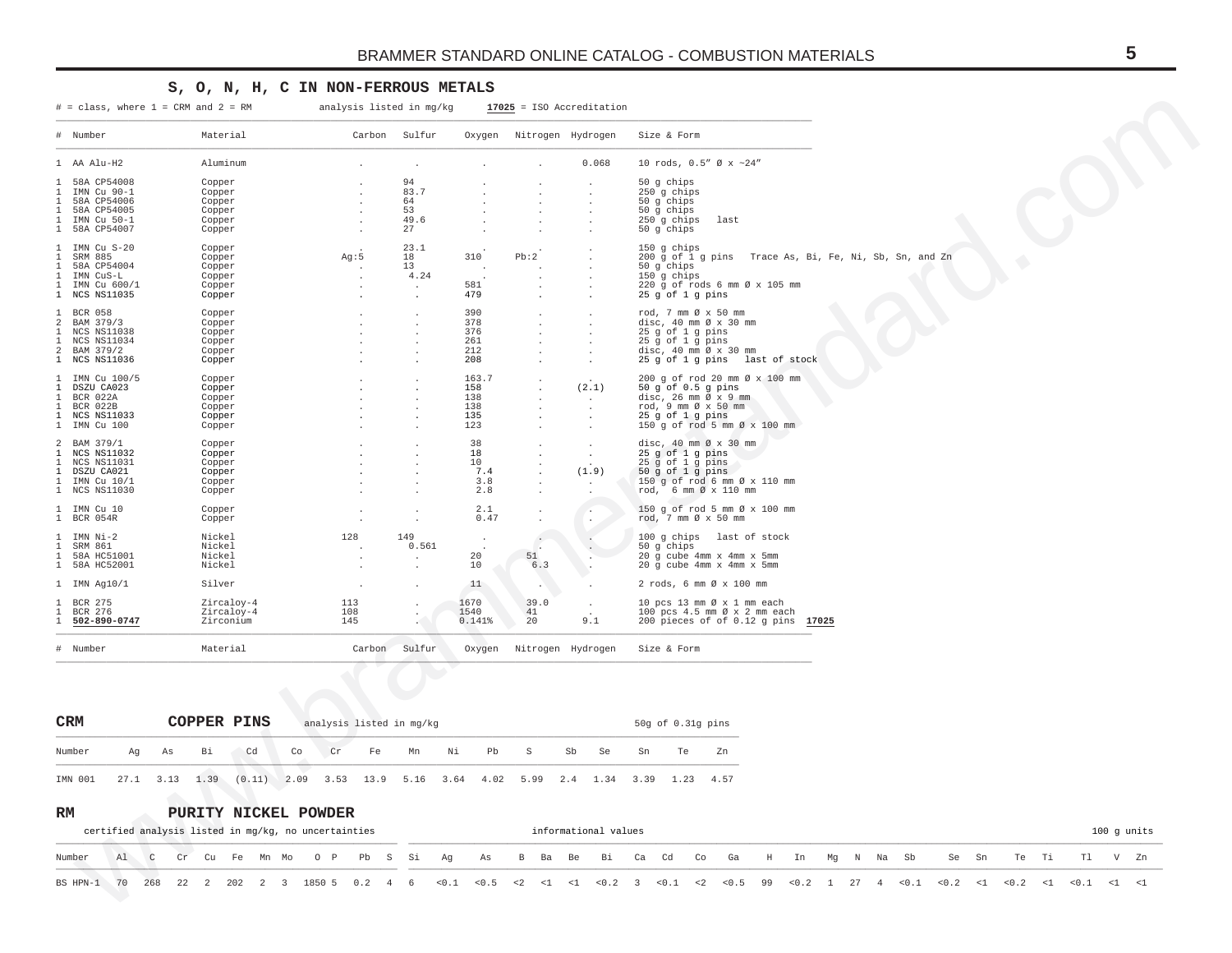## S, O, N, H, C IN NON-FERROUS METALS

 $#$  = class, where 1 = CRM and 2 = RM

analysis listed in mg/kg

 $17025$  = ISO Accreditation

| # Number                                                                                                                                                 | Material                                                 | Carbon            | Sulfur                                                      | Oxygen                                           | Nitrogen Hydrogen |                           | Size & Form                                                                                                                                                                                |
|----------------------------------------------------------------------------------------------------------------------------------------------------------|----------------------------------------------------------|-------------------|-------------------------------------------------------------|--------------------------------------------------|-------------------|---------------------------|--------------------------------------------------------------------------------------------------------------------------------------------------------------------------------------------|
| 1 AA Alu-H2                                                                                                                                              | Aluminum                                                 |                   |                                                             |                                                  |                   | 0.068                     | 10 rods, 0.5" Ø x ~24"                                                                                                                                                                     |
| 58A CP54008<br>$\mathbf{1}$<br>IMN Cu 90-1<br>1<br>58A CP54006<br>1<br>$\mathbf{1}$<br>58A CP54005<br>1 IMN Cu 50-1<br>1 58A CP54007                     | Copper<br>Copper<br>Copper<br>Copper<br>Copper<br>Copper |                   | 94<br>83.7<br>64<br>53<br>49.6<br>27                        |                                                  |                   |                           | 50 q chips<br>250 g chips<br>50 g chips<br>50 g chips<br>250 g chips<br>last<br>50 g chips                                                                                                 |
| IMN Cu S-20<br>$\mathbf{1}$<br>SRM 885<br><sup>1</sup><br>58A CP54004<br>$\mathbf{1}$<br>IMN CuS-L<br>1<br>IMN Cu 600/1<br>$\mathbf{1}$<br>1 NCS NS11035 | Copper<br>Copper<br>Copper<br>Copper<br>Copper<br>Copper | Aq:5              | 23.1<br>18<br>13<br>4.24<br>$\cdot$<br>$\ddot{\phantom{a}}$ | 310<br>581<br>479                                | Pb:2              |                           | 150 g chips<br>$200$ q of $1$ q pins<br>Trace As, Bi, Fe, Ni, Sb, Sn, and Zn<br>$50$ q chips<br>$150$ q chips<br>220 q of rods 6 mm Ø x 105 mm<br>25 g of 1 g pins                         |
| $\mathbf{1}$<br><b>BCR 058</b><br>2 BAM 379/3<br><b>NCS NS11038</b><br>$\mathbf{1}$<br>NCS NS11034<br>1<br>2 BAM 379/2<br>1 NCS NS11036                  | Copper<br>Copper<br>Copper<br>Copper<br>Copper<br>Copper |                   |                                                             | 390<br>378<br>376<br>261<br>212<br>208           |                   |                           | rod, 7 mm Ø x 50 mm<br>disc, $40 \text{ mm } \emptyset \times 30 \text{ mm}$<br>25 g of 1 g pins<br>25 g of 1 g pins<br>disc, 40 mm Ø x 30 mm<br>25 g of 1 g pins last of stock            |
| 1 IMN Cu 100/5<br>$\mathbf{1}$<br>DSZU CA023<br>1 BCR 022A<br>BCR 022B<br>$\mathbf{1}$<br>1 NCS NS11033<br>1 IMN Cu 100                                  | Copper<br>Copper<br>Copper<br>Copper<br>Copper<br>Copper |                   |                                                             | 163.7<br>158<br>138<br>138<br>135<br>123         |                   | $\sim$<br>(2.1)<br>$\sim$ | 200 g of rod 20 mm Ø x 100 mm<br>$50$ q of $0.5$ q pins<br>disc, $26 \text{ mm } \emptyset \times 9 \text{ mm}$<br>rod, 9 mm Ø x 50 mm<br>25 g of 1 g pins<br>150 g of rod 5 mm Ø x 100 mm |
| 2 BAM 379/1<br>NCS NS11032<br>1<br><b>NCS NS11031</b><br>1<br>1 DSZU CA021<br>1 IMN Cu 10/1<br>1 NCS NS11030                                             | Copper<br>Copper<br>Copper<br>Copper<br>Copper<br>Copper |                   |                                                             | 38<br>18<br>10 <sup>°</sup><br>7.4<br>3.8<br>2.8 |                   | (1.9)                     | disc, $40 \text{ mm}$ $\emptyset$ x $30 \text{ mm}$<br>25 g of 1 g pins<br>25 g of 1 g pins<br>$50$ g of $1$ g pins<br>150 g of rod 6 mm Ø x 110 mm<br>rod, 6 mm Ø x 110 mm                |
| 1 IMN Cu 10<br>1 BCR 054R                                                                                                                                | Copper<br>Copper                                         |                   |                                                             | 2.1<br>0.47                                      |                   |                           | 150 q of rod 5 mm Ø x 100 mm<br>rod, 7 mm Ø x 50 mm                                                                                                                                        |
| $\mathbf{1}$<br>IMN Ni-2<br>SRM 861<br>$\mathbf{1}$<br>58A HC51001<br>$\mathbf{1}$<br>1 58A HC52001                                                      | Nickel<br>Nickel<br>Nickel<br>Nickel                     | 128               | 149<br>0.561<br>$\mathbf{r}$                                | 20<br>10                                         | 51<br>6.3         |                           | 100 g chips last of stock<br>50 q chips<br>20 q cube 4mm x 4mm x 5mm<br>20 q cube 4mm x 4mm x 5mm                                                                                          |
| $1$ IMN Aq $10/1$                                                                                                                                        | Silver                                                   |                   |                                                             | 11                                               |                   |                           | 2 rods, 6 mm Ø x 100 mm                                                                                                                                                                    |
| BCR 275<br>$\mathbf{1}$<br>BCR 276<br><sup>1</sup><br>502-890-0747<br>-1.                                                                                | Zircaloy-4<br>Zircaloy-4<br>Zirconium                    | 113<br>108<br>145 |                                                             | 1670<br>1540<br>0.141%                           | 39.0<br>41<br>20  | $\sim$<br>9.1             | 10 pcs 13 mm Ø x 1 mm each<br>100 pcs 4.5 mm Ø x 2 mm each<br>200 pieces of of 0.12 g pins 17025                                                                                           |
| # Number                                                                                                                                                 | Material                                                 | Carbon            | Sulfur                                                      | Oxygen                                           | Nitrogen Hydrogen |                           | Size & Form                                                                                                                                                                                |
|                                                                                                                                                          |                                                          |                   |                                                             |                                                  |                   |                           |                                                                                                                                                                                            |

| <b>CRM</b> |    |    |                      | COPPER PINS                                                         |    |    |    | analysis listed in mg/kg |    |    |   |    |      |    | $50q$ of $0.31q$ pins |    |
|------------|----|----|----------------------|---------------------------------------------------------------------|----|----|----|--------------------------|----|----|---|----|------|----|-----------------------|----|
| Number     | Aα | As | Bi                   | Cd                                                                  | Co | Cr | Fe | Mn                       | Ni | Pb | S | Sb | - Se | Sn | Te                    | Zn |
| IMN 001    |    |    | $27.1$ $3.13$ $1.39$ | $(0.11)$ 2.09 3.53 13.9 5.16 3.64 4.02 5.99 2.4 1.34 3.39 1.23 4.57 |    |    |    |                          |    |    |   |    |      |    |                       |    |

#### $\mathbf{RM}$ PURITY NICKEL POWDER

|                                                                                                                                   |  | certified analysis listed in mg/kg, no uncertainties |  |  |  |  |  |  |  |  | informational values |  |  |  |  |  |  |  | $100$ q units |  |
|-----------------------------------------------------------------------------------------------------------------------------------|--|------------------------------------------------------|--|--|--|--|--|--|--|--|----------------------|--|--|--|--|--|--|--|---------------|--|
| Number Al C Cr Cu Fe Mn Mo O P Pb S Si Aq As B Ba Be Bi Ca Cd Co Ga H In Mq N Na Sb  Se Sn  Te Ti  Tl  V Zn                       |  |                                                      |  |  |  |  |  |  |  |  |                      |  |  |  |  |  |  |  |               |  |
| BS HPN-1 70 268 22 2 202 2 3 1850 5 0.2 4 6 <0.1 <0.5 <2 <1 <1 <0.2 3 <0.1 <2 <0.5 99 <0.2 1 27 4 <0.1 <0.2 <1 <0.2 <1 <0.1 <1 <1 |  |                                                      |  |  |  |  |  |  |  |  |                      |  |  |  |  |  |  |  |               |  |